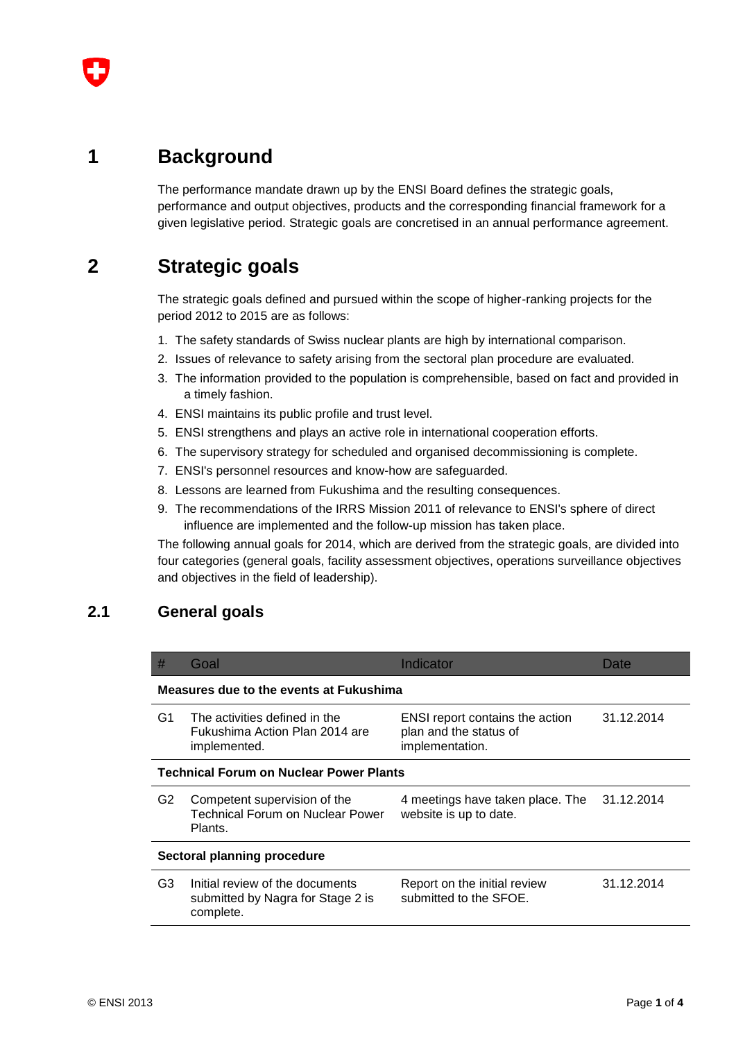

The performance mandate drawn up by the ENSI Board defines the strategic goals, performance and output objectives, products and the corresponding financial framework for a given legislative period. Strategic goals are concretised in an annual performance agreement.

## **2 Strategic goals**

The strategic goals defined and pursued within the scope of higher-ranking projects for the period 2012 to 2015 are as follows:

- 1. The safety standards of Swiss nuclear plants are high by international comparison.
- 2. Issues of relevance to safety arising from the sectoral plan procedure are evaluated.
- 3. The information provided to the population is comprehensible, based on fact and provided in a timely fashion.
- 4. ENSI maintains its public profile and trust level.
- 5. ENSI strengthens and plays an active role in international cooperation efforts.
- 6. The supervisory strategy for scheduled and organised decommissioning is complete.
- 7. ENSI's personnel resources and know-how are safeguarded.
- 8. Lessons are learned from Fukushima and the resulting consequences.
- 9. The recommendations of the IRRS Mission 2011 of relevance to ENSI's sphere of direct influence are implemented and the follow-up mission has taken place.

The following annual goals for 2014, which are derived from the strategic goals, are divided into four categories (general goals, facility assessment objectives, operations surveillance objectives and objectives in the field of leadership).

### **2.1 General goals**

| #                                              | Goal                                                                              | Indicator                                                                           | Date       |  |  |
|------------------------------------------------|-----------------------------------------------------------------------------------|-------------------------------------------------------------------------------------|------------|--|--|
| Measures due to the events at Fukushima        |                                                                                   |                                                                                     |            |  |  |
| G1                                             | The activities defined in the<br>Fukushima Action Plan 2014 are<br>implemented.   | <b>ENSI</b> report contains the action<br>plan and the status of<br>implementation. | 31.12.2014 |  |  |
| <b>Technical Forum on Nuclear Power Plants</b> |                                                                                   |                                                                                     |            |  |  |
| G2                                             | Competent supervision of the<br>Technical Forum on Nuclear Power<br>Plants.       | 4 meetings have taken place. The<br>website is up to date.                          | 31.12.2014 |  |  |
| Sectoral planning procedure                    |                                                                                   |                                                                                     |            |  |  |
| G <sub>3</sub>                                 | Initial review of the documents<br>submitted by Nagra for Stage 2 is<br>complete. | Report on the initial review<br>submitted to the SFOE.                              | 31.12.2014 |  |  |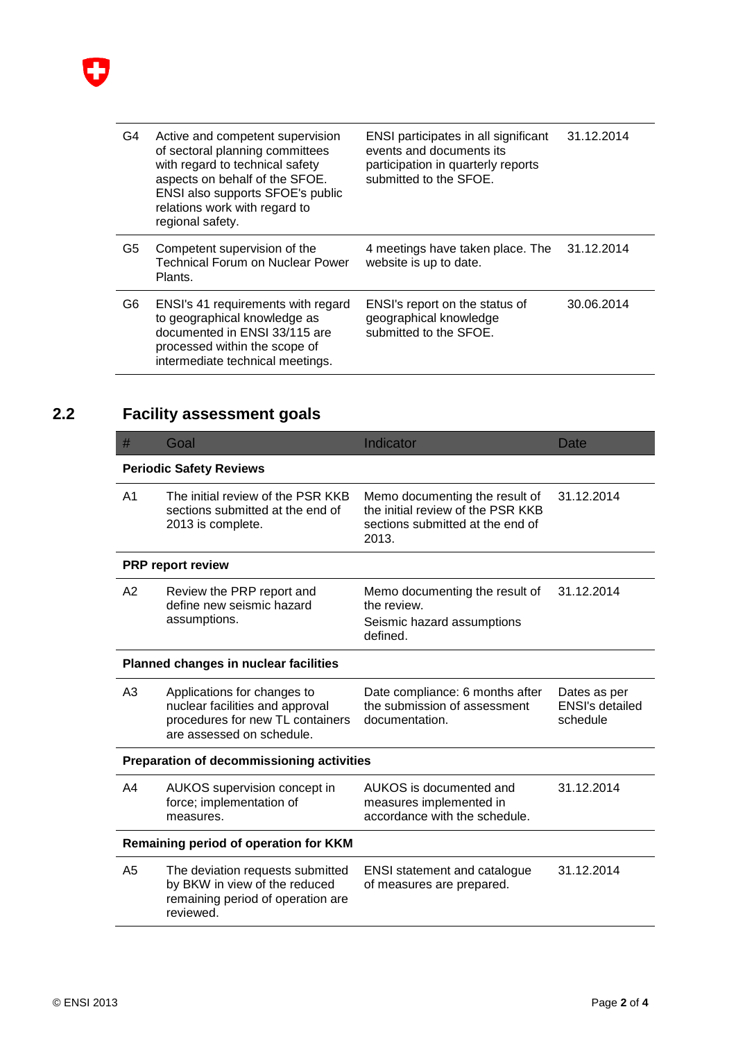

| G4 | Active and competent supervision<br>of sectoral planning committees<br>with regard to technical safety<br>aspects on behalf of the SFOE.<br>ENSI also supports SFOE's public<br>relations work with regard to<br>regional safety. | ENSI participates in all significant<br>events and documents its<br>participation in quarterly reports<br>submitted to the SFOE. | 31.12.2014 |
|----|-----------------------------------------------------------------------------------------------------------------------------------------------------------------------------------------------------------------------------------|----------------------------------------------------------------------------------------------------------------------------------|------------|
| G5 | Competent supervision of the<br>Technical Forum on Nuclear Power<br>Plants.                                                                                                                                                       | 4 meetings have taken place. The<br>website is up to date.                                                                       | 31.12.2014 |
| G6 | ENSI's 41 requirements with regard<br>to geographical knowledge as<br>documented in ENSI 33/115 are<br>processed within the scope of<br>intermediate technical meetings.                                                          | ENSI's report on the status of<br>geographical knowledge<br>submitted to the SFOE.                                               | 30.06.2014 |

# **2.2 Facility assessment goals**

| #                                            | Goal                                                                                                                            | Indicator                                                                                                        | <b>Date</b>                                        |  |  |
|----------------------------------------------|---------------------------------------------------------------------------------------------------------------------------------|------------------------------------------------------------------------------------------------------------------|----------------------------------------------------|--|--|
| <b>Periodic Safety Reviews</b>               |                                                                                                                                 |                                                                                                                  |                                                    |  |  |
| A <sub>1</sub>                               | The initial review of the PSR KKB<br>sections submitted at the end of<br>2013 is complete.                                      | Memo documenting the result of<br>the initial review of the PSR KKB<br>sections submitted at the end of<br>2013. | 31.12.2014                                         |  |  |
|                                              | <b>PRP report review</b>                                                                                                        |                                                                                                                  |                                                    |  |  |
| A2                                           | Review the PRP report and<br>define new seismic hazard<br>assumptions.                                                          | Memo documenting the result of<br>the review.<br>Seismic hazard assumptions<br>defined.                          | 31.12.2014                                         |  |  |
| <b>Planned changes in nuclear facilities</b> |                                                                                                                                 |                                                                                                                  |                                                    |  |  |
| A <sub>3</sub>                               | Applications for changes to<br>nuclear facilities and approval<br>procedures for new TL containers<br>are assessed on schedule. | Date compliance: 6 months after<br>the submission of assessment<br>documentation.                                | Dates as per<br><b>ENSI's detailed</b><br>schedule |  |  |
| Preparation of decommissioning activities    |                                                                                                                                 |                                                                                                                  |                                                    |  |  |
| A4                                           | AUKOS supervision concept in<br>force; implementation of<br>measures.                                                           | AUKOS is documented and<br>measures implemented in<br>accordance with the schedule.                              | 31.12.2014                                         |  |  |
| Remaining period of operation for KKM        |                                                                                                                                 |                                                                                                                  |                                                    |  |  |
| A <sub>5</sub>                               | The deviation requests submitted<br>by BKW in view of the reduced<br>remaining period of operation are<br>reviewed.             | <b>ENSI statement and catalogue</b><br>of measures are prepared.                                                 | 31.12.2014                                         |  |  |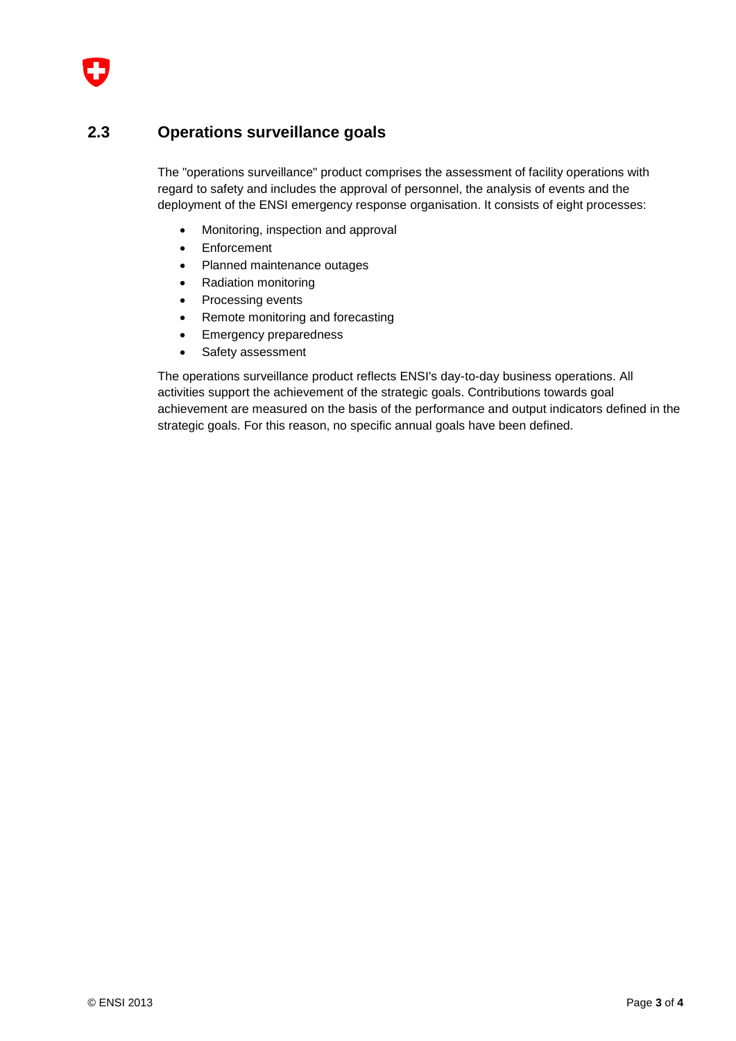

#### **2.3 Operations surveillance goals**

The "operations surveillance" product comprises the assessment of facility operations with regard to safety and includes the approval of personnel, the analysis of events and the deployment of the ENSI emergency response organisation. It consists of eight processes:

- Monitoring, inspection and approval
- Enforcement
- Planned maintenance outages
- Radiation monitoring
- Processing events
- Remote monitoring and forecasting
- Emergency preparedness
- Safety assessment

The operations surveillance product reflects ENSI's day-to-day business operations. All activities support the achievement of the strategic goals. Contributions towards goal achievement are measured on the basis of the performance and output indicators defined in the strategic goals. For this reason, no specific annual goals have been defined.